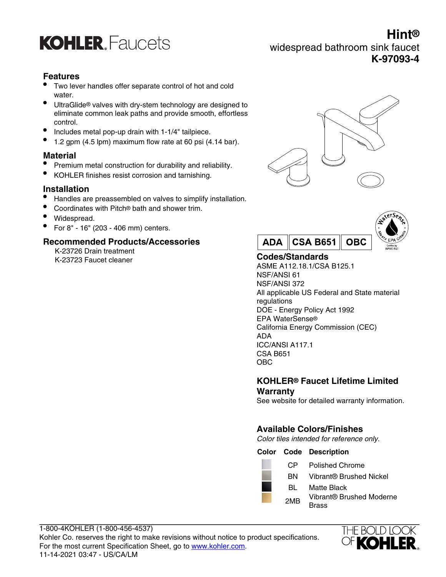

### **Hint®** widespread bathroom sink faucet **K-97093-4**

#### **Features**

- Two lever handles offer separate control of hot and cold water.
- UltraGlide® valves with dry-stem technology are designed to eliminate common leak paths and provide smooth, effortless control.
- Includes metal pop-up drain with 1-1/4" tailpiece.
- 1.2 gpm (4.5 lpm) maximum flow rate at 60 psi (4.14 bar).

#### **Material**

- Premium metal construction for durability and reliability.
- KOHLER finishes resist corrosion and tarnishing.

#### **Installation**

- Handles are preassembled on valves to simplify installation.
- Coordinates with Pitch® bath and shower trim.
- Widespread.
- For 8" 16" (203 406 mm) centers.

#### **Recommended Products/Accessories**

K-23726 Drain treatment K-23723 Faucet cleaner **Codes/Standards**





ASME A112.18.1/CSA B125.1 NSF/ANSI 61 NSF/ANSI 372 All applicable US Federal and State material regulations DOE - Energy Policy Act 1992 EPA WaterSense® California Energy Commission (CEC) ADA ICC/ANSI A117.1 CSA B651 OBC

#### **KOHLER® Faucet Lifetime Limited Warranty**

See website for detailed warranty information.

#### **Available Colors/Finishes**

Color tiles intended for reference only.

#### **Color Code Description**

|  | CP.             | <b>Polished Chrome</b>   |
|--|-----------------|--------------------------|
|  | ВN              | Vibrant® Brushed Nickel  |
|  | BL.             | Matte Black              |
|  | 2M <sub>R</sub> | Vibrant® Brushed Moderne |
|  |                 | Brass                    |